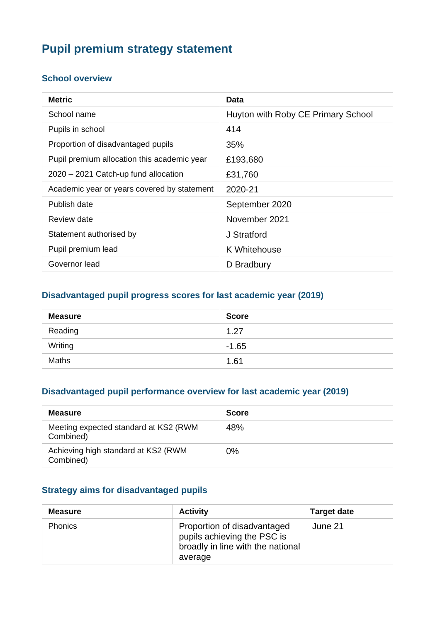# **Pupil premium strategy statement**

#### **School overview**

| <b>Metric</b>                               | <b>Data</b>                        |
|---------------------------------------------|------------------------------------|
| School name                                 | Huyton with Roby CE Primary School |
| Pupils in school                            | 414                                |
| Proportion of disadvantaged pupils          | 35%                                |
| Pupil premium allocation this academic year | £193,680                           |
| 2020 - 2021 Catch-up fund allocation        | £31,760                            |
| Academic year or years covered by statement | 2020-21                            |
| Publish date                                | September 2020                     |
| Review date                                 | November 2021                      |
| Statement authorised by                     | J Stratford                        |
| Pupil premium lead                          | K Whitehouse                       |
| Governor lead                               | D Bradbury                         |

#### **Disadvantaged pupil progress scores for last academic year (2019)**

| <b>Measure</b> | <b>Score</b> |
|----------------|--------------|
| Reading        | 1.27         |
| Writing        | $-1.65$      |
| <b>Maths</b>   | 1.61         |

#### **Disadvantaged pupil performance overview for last academic year (2019)**

| <b>Measure</b>                                     | <b>Score</b> |
|----------------------------------------------------|--------------|
| Meeting expected standard at KS2 (RWM<br>Combined) | 48%          |
| Achieving high standard at KS2 (RWM<br>Combined)   | $0\%$        |

#### **Strategy aims for disadvantaged pupils**

| <b>Measure</b> | <b>Activity</b>                                                                                            | <b>Target date</b> |
|----------------|------------------------------------------------------------------------------------------------------------|--------------------|
| <b>Phonics</b> | Proportion of disadvantaged<br>pupils achieving the PSC is<br>broadly in line with the national<br>average | June 21            |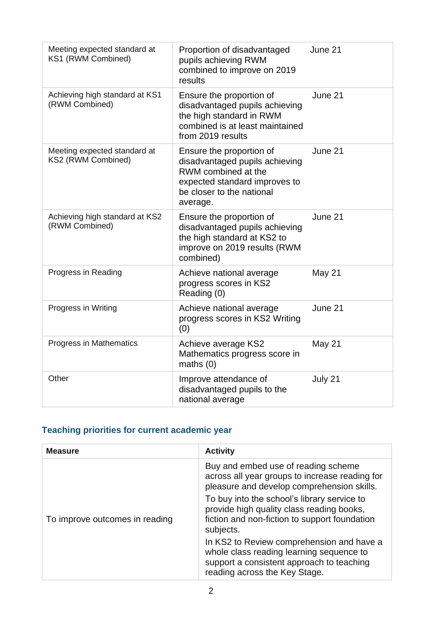| Meeting expected standard at<br>KS1 (RWM Combined) | Proportion of disadvantaged<br>pupils achieving RWM<br>combined to improve on 2019<br>results                                                               | June 21 |
|----------------------------------------------------|-------------------------------------------------------------------------------------------------------------------------------------------------------------|---------|
| Achieving high standard at KS1<br>(RWM Combined)   | Ensure the proportion of<br>disadvantaged pupils achieving<br>the high standard in RWM<br>combined is at least maintained<br>from 2019 results              | June 21 |
| Meeting expected standard at<br>KS2 (RWM Combined) | Ensure the proportion of<br>disadvantaged pupils achieving<br>RWM combined at the<br>expected standard improves to<br>be closer to the national<br>average. | June 21 |
| Achieving high standard at KS2<br>(RWM Combined)   | Ensure the proportion of<br>disadvantaged pupils achieving<br>the high standard at KS2 to<br>improve on 2019 results (RWM<br>combined)                      | June 21 |
| Progress in Reading                                | Achieve national average<br>progress scores in KS2<br>Reading (0)                                                                                           | May 21  |
| Progress in Writing                                | Achieve national average<br>progress scores in KS2 Writing<br>(0)                                                                                           | June 21 |
| Progress in Mathematics                            | Achieve average KS2<br>Mathematics progress score in<br>maths $(0)$                                                                                         | May 21  |
| Other                                              | Improve attendance of<br>disadvantaged pupils to the<br>national average                                                                                    | July 21 |

## **Teaching priorities for current academic year**

| <b>Measure</b>                 | <b>Activity</b>                                                                                                                                                     |
|--------------------------------|---------------------------------------------------------------------------------------------------------------------------------------------------------------------|
|                                | Buy and embed use of reading scheme<br>across all year groups to increase reading for<br>pleasure and develop comprehension skills.                                 |
| To improve outcomes in reading | To buy into the school's library service to<br>provide high quality class reading books,<br>fiction and non-fiction to support foundation<br>subjects.              |
|                                | In KS2 to Review comprehension and have a<br>whole class reading learning sequence to<br>support a consistent approach to teaching<br>reading across the Key Stage. |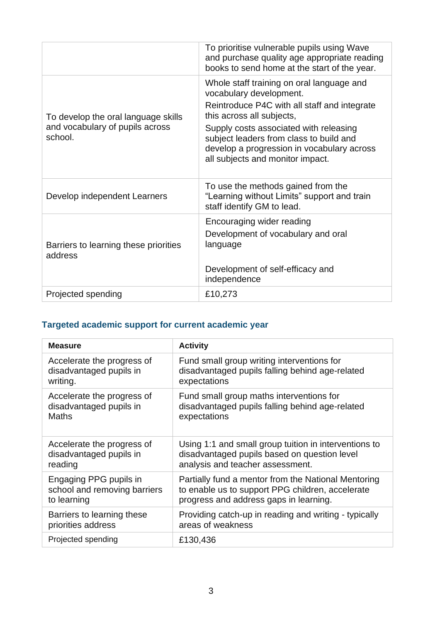|                                                                                   | To prioritise vulnerable pupils using Wave<br>and purchase quality age appropriate reading<br>books to send home at the start of the year.                                                  |
|-----------------------------------------------------------------------------------|---------------------------------------------------------------------------------------------------------------------------------------------------------------------------------------------|
| To develop the oral language skills<br>and vocabulary of pupils across<br>school. | Whole staff training on oral language and<br>vocabulary development.<br>Reintroduce P4C with all staff and integrate<br>this across all subjects,<br>Supply costs associated with releasing |
|                                                                                   | subject leaders from class to build and<br>develop a progression in vocabulary across<br>all subjects and monitor impact.                                                                   |
| Develop independent Learners                                                      | To use the methods gained from the<br>"Learning without Limits" support and train<br>staff identify GM to lead.                                                                             |
| Barriers to learning these priorities<br>address                                  | Encouraging wider reading<br>Development of vocabulary and oral<br>language                                                                                                                 |
|                                                                                   | Development of self-efficacy and<br>independence                                                                                                                                            |
| Projected spending                                                                | £10,273                                                                                                                                                                                     |

## **Targeted academic support for current academic year**

| <b>Measure</b>               | <b>Activity</b>                                       |
|------------------------------|-------------------------------------------------------|
| Accelerate the progress of   | Fund small group writing interventions for            |
| disadvantaged pupils in      | disadvantaged pupils falling behind age-related       |
| writing.                     | expectations                                          |
| Accelerate the progress of   | Fund small group maths interventions for              |
| disadvantaged pupils in      | disadvantaged pupils falling behind age-related       |
| Maths                        | expectations                                          |
| Accelerate the progress of   | Using 1:1 and small group tuition in interventions to |
| disadvantaged pupils in      | disadvantaged pupils based on question level          |
| reading                      | analysis and teacher assessment.                      |
| Engaging PPG pupils in       | Partially fund a mentor from the National Mentoring   |
| school and removing barriers | to enable us to support PPG children, accelerate      |
| to learning                  | progress and address gaps in learning.                |
| Barriers to learning these   | Providing catch-up in reading and writing - typically |
| priorities address           | areas of weakness                                     |
| Projected spending           | £130,436                                              |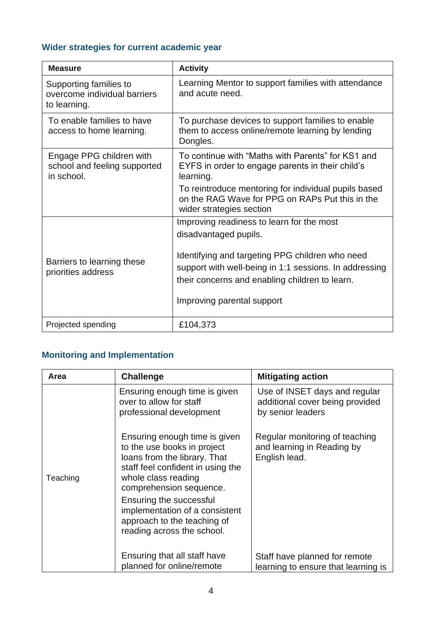### **Wider strategies for current academic year**

| <b>Measure</b>                                                         | <b>Activity</b>                                                                                                                                                                                                                                                 |
|------------------------------------------------------------------------|-----------------------------------------------------------------------------------------------------------------------------------------------------------------------------------------------------------------------------------------------------------------|
| Supporting families to<br>overcome individual barriers<br>to learning. | Learning Mentor to support families with attendance<br>and acute need.                                                                                                                                                                                          |
| To enable families to have<br>access to home learning.                 | To purchase devices to support families to enable<br>them to access online/remote learning by lending<br>Dongles.                                                                                                                                               |
| Engage PPG children with<br>school and feeling supported<br>in school. | To continue with "Maths with Parents" for KS1 and<br>EYFS in order to engage parents in their child's<br>learning.<br>To reintroduce mentoring for individual pupils based<br>on the RAG Wave for PPG on RAPs Put this in the<br>wider strategies section       |
| Barriers to learning these<br>priorities address                       | Improving readiness to learn for the most<br>disadvantaged pupils.<br>Identifying and targeting PPG children who need<br>support with well-being in 1:1 sessions. In addressing<br>their concerns and enabling children to learn.<br>Improving parental support |
| Projected spending                                                     | £104,373                                                                                                                                                                                                                                                        |

## **Monitoring and Implementation**

| Area     | <b>Challenge</b>                                                                                                                                                                                                                                                                                              | <b>Mitigating action</b>                                                              |
|----------|---------------------------------------------------------------------------------------------------------------------------------------------------------------------------------------------------------------------------------------------------------------------------------------------------------------|---------------------------------------------------------------------------------------|
|          | Ensuring enough time is given<br>over to allow for staff<br>professional development                                                                                                                                                                                                                          | Use of INSET days and regular<br>additional cover being provided<br>by senior leaders |
| Teaching | Ensuring enough time is given<br>to the use books in project<br>loans from the library. That<br>staff feel confident in using the<br>whole class reading<br>comprehension sequence.<br>Ensuring the successful<br>implementation of a consistent<br>approach to the teaching of<br>reading across the school. | Regular monitoring of teaching<br>and learning in Reading by<br>English lead.         |
|          | Ensuring that all staff have                                                                                                                                                                                                                                                                                  | Staff have planned for remote                                                         |
|          | planned for online/remote                                                                                                                                                                                                                                                                                     | learning to ensure that learning is                                                   |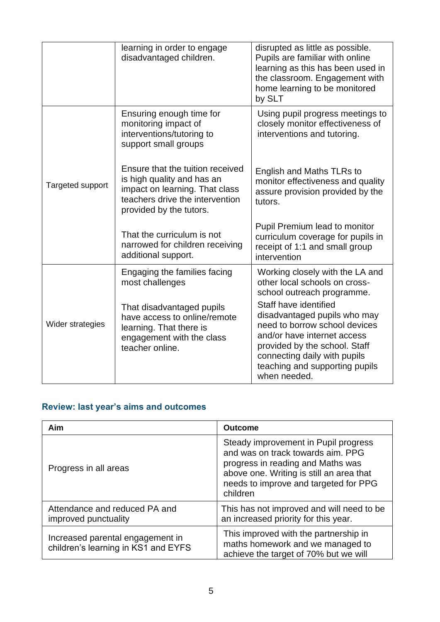|                  | learning in order to engage<br>disadvantaged children.                                                                                                         | disrupted as little as possible.<br>Pupils are familiar with online<br>learning as this has been used in<br>the classroom. Engagement with<br>home learning to be monitored<br>by SLT                                                    |
|------------------|----------------------------------------------------------------------------------------------------------------------------------------------------------------|------------------------------------------------------------------------------------------------------------------------------------------------------------------------------------------------------------------------------------------|
|                  | Ensuring enough time for<br>monitoring impact of<br>interventions/tutoring to<br>support small groups                                                          | Using pupil progress meetings to<br>closely monitor effectiveness of<br>interventions and tutoring.                                                                                                                                      |
| Targeted support | Ensure that the tuition received<br>is high quality and has an<br>impact on learning. That class<br>teachers drive the intervention<br>provided by the tutors. | English and Maths TLRs to<br>monitor effectiveness and quality<br>assure provision provided by the<br>tutors.                                                                                                                            |
|                  | That the curriculum is not<br>narrowed for children receiving<br>additional support.                                                                           | Pupil Premium lead to monitor<br>curriculum coverage for pupils in<br>receipt of 1:1 and small group<br>intervention                                                                                                                     |
|                  | Engaging the families facing<br>most challenges                                                                                                                | Working closely with the LA and<br>other local schools on cross-<br>school outreach programme.                                                                                                                                           |
| Wider strategies | That disadvantaged pupils<br>have access to online/remote<br>learning. That there is<br>engagement with the class<br>teacher online.                           | Staff have identified<br>disadvantaged pupils who may<br>need to borrow school devices<br>and/or have internet access<br>provided by the school. Staff<br>connecting daily with pupils<br>teaching and supporting pupils<br>when needed. |

### **Review: last year's aims and outcomes**

| Aim                                                                     | <b>Outcome</b>                                                                                                                                                                                                  |
|-------------------------------------------------------------------------|-----------------------------------------------------------------------------------------------------------------------------------------------------------------------------------------------------------------|
| Progress in all areas                                                   | Steady improvement in Pupil progress<br>and was on track towards aim. PPG<br>progress in reading and Maths was<br>above one. Writing is still an area that<br>needs to improve and targeted for PPG<br>children |
| Attendance and reduced PA and<br>improved punctuality                   | This has not improved and will need to be<br>an increased priority for this year.                                                                                                                               |
| Increased parental engagement in<br>children's learning in KS1 and EYFS | This improved with the partnership in<br>maths homework and we managed to<br>achieve the target of 70% but we will                                                                                              |